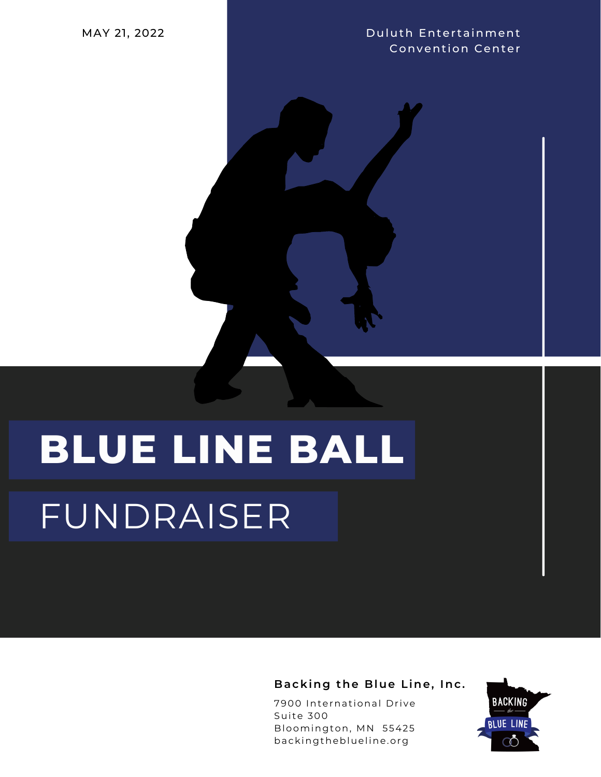**Duluth Entertainment Convention Center** 

## **BLUE LINE BALL** FUNDRAISER

Backing the Blue Line, Inc.

7900 International Drive Suite 300 Bloomington, MN 55425 backingtheblueline.org

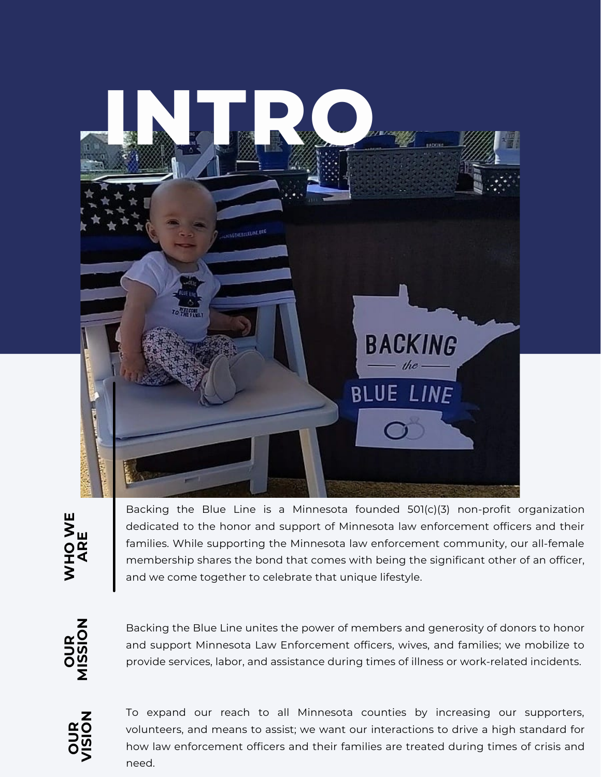

Backing the Blue Line is a Minnesota founded 501(c)(3) non-profit organization dedicated to the honor and support of Minnesota law enforcement officers and their families. While supporting the Minnesota law enforcement community, our all-female membership shares the bond that comes with being the significant other of an officer, and we come together to celebrate that unique lifestyle.

**OU**r ≍ **MIS SIO N**

Backing the Blue Line unites the power of members and generosity of donors to honor and support Minnesota Law Enforcement officers, wives, and families; we mobilize to provide services, labor, and assistance during times of illness or work-related incidents.



To expand our reach to all Minnesota counties by increasing our supporters, volunteers, and means to assist; we want our interactions to drive a high standard for how law enforcement officers and their families are treated during times of crisis and need.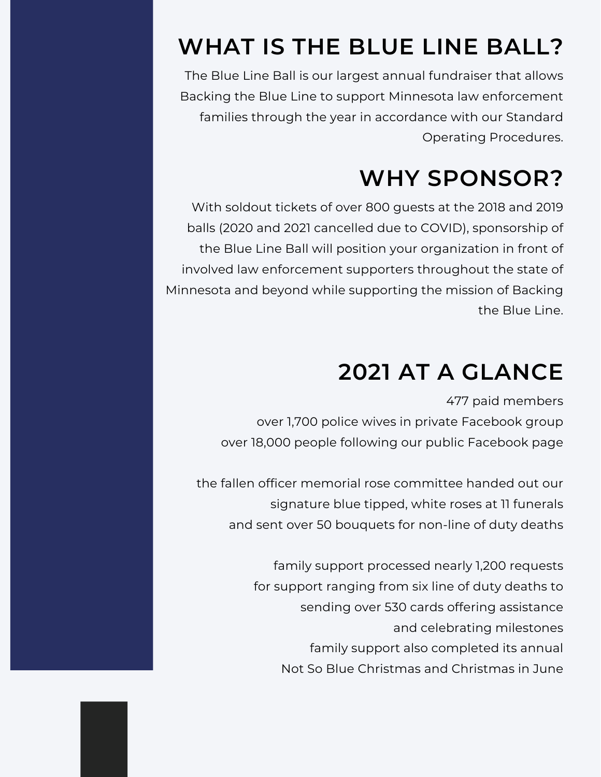## **WHAT IS THE BLUE LINE BALL?**

The Blue Line Ball is our largest annual fundraiser that allows Backing the Blue Line to support Minnesota law enforcement families through the year in accordance with our Standard Operating Procedures.

### **WHY SPONSOR?**

With soldout tickets of over 800 guests at the 2018 and 2019 balls (2020 and 2021 cancelled due to COVID), sponsorship of the Blue Line Ball will position your organization in front of involved law enforcement supporters throughout the state of Minnesota and beyond while supporting the mission of Backing the Blue Line.

### **2021 AT A GLANCE**

477 paid members over 1,700 police wives in private Facebook group over 18,000 people following our public Facebook page

the fallen officer memorial rose committee handed out our signature blue tipped, white roses at 11 funerals and sent over 50 bouquets for non-line of duty deaths

> family support processed nearly 1,200 requests for support ranging from six line of duty deaths to sending over 530 cards offering assistance and celebrating milestones family support also completed its annual Not So Blue Christmas and Christmas in June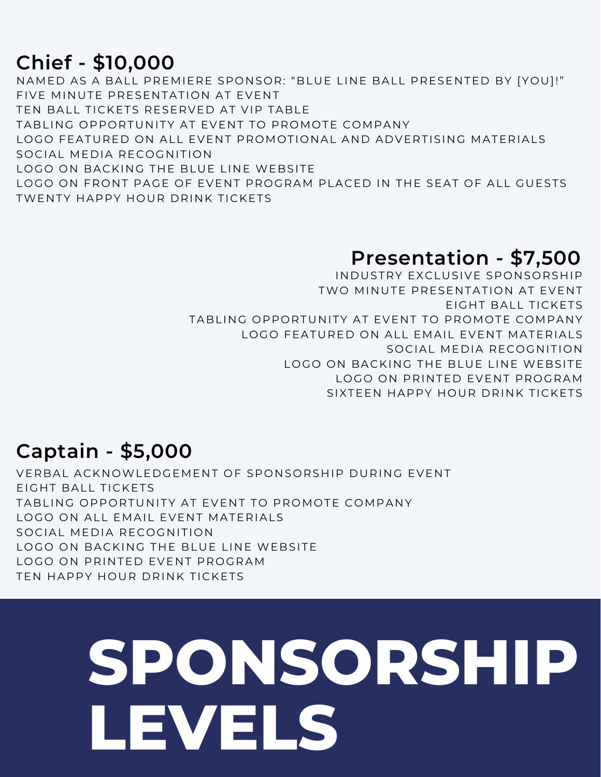#### **Chief - \$10,000**

NAMED AS A BALL PREMIERE SPONSOR: "BLUE LINE BALL PRESENTED BY [YOU]!" FIVE MINUTE PRESENTATION AT EVENT TEN BALL TICKETS RESERVED AT VIP TABLE TABLING OPPORTUNITY AT EVENT TO PROMOTE COMPANY LOGO FEATURED ON ALL EVENT PROMOTIONAL AND ADVERTISING MATERIALS SOCIAL MEDIA RECOGNITION LOGO ON BACKING THE BLUE LINE WEBSITE LOGO ON FRONT PAGE OF EVENT PROGRAM PLACED IN THE SEAT OF ALL GUESTS TWENTY HAPPY HOUR DRINK TICKETS

#### **Presentation - \$7,500**

INDUSTRY EXCLUSIVE SPONSORSHIP TWO MINUTE PRESENTATION AT EVENT EIGHT BALL TICKETS TABLING OPPORTUNITY AT EVENT TO PROMOTE COMPANY LOGO FEATURED ON ALL EMAIL EVENT MATERIALS SOCIAL MEDIA RECOGNITION LOGO ON BACKING THE BLUE LINE WEBSITE LOGO ON PRINTED EVENT PROGRAM SIXTEEN HAPPY HOUR DRINK TICKETS

#### **Captain - \$5,000**

VERBAL ACKNOWLEDGEMENT OF SPONSORSHIP DURING EVENT EIGHT BALL TICKETS TABLING OPPORTUNITY AT EVENT TO PROMOTE COMPANY LOGO ON ALL EMAIL EVENT MATERIALS SOCIAL MEDIA RECOGNITION LOGO ON BACKING THE BLUE LINE WEBSITE LOGO ON PRINTED EVENT PROGRAM TEN HAPPY HOUR DRINK TICKETS

# **SPONSORSHIP LEVELS**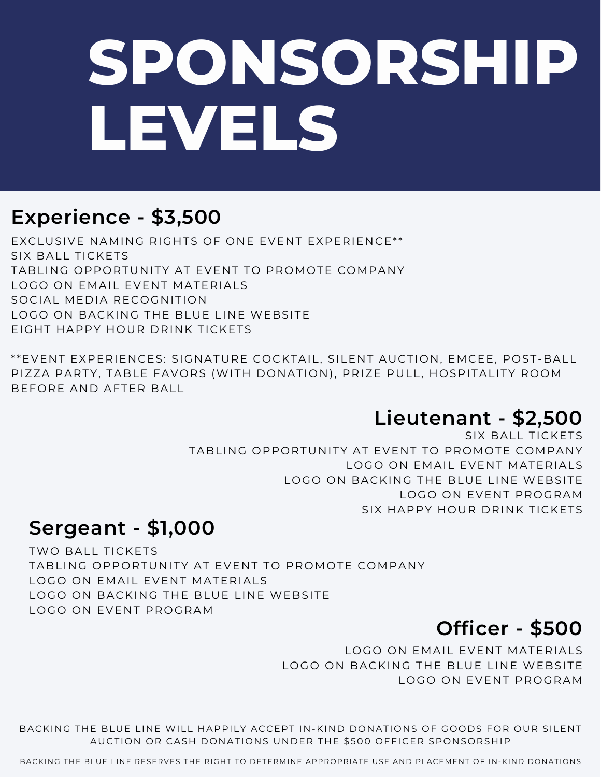# **SPONSORSHIP LEVELS**

#### **Experience - \$3,500**

EXCLUSIVE NAMING RIGHTS OF ONE EVENT EXPERIENCE\*\* SIX BALL TICKETS TABLING OPPORTUNITY AT EVENT TO PROMOTE COMPANY LOGO ON EMAIL EVENT MATERIALS SOCIAL MEDIA RECOGNITION LOGO ON BACKING THE BLUE LINE WEBSITE EIGHT HAPPY HOUR DRINK TICKETS

\*\*EVENT EXPERIENCES: SIGNATURE COCKTAIL, SILENT AUCTION, EMCEE, POST-BALL PIZZA PARTY, TABLE FAVORS (WITH DONATION), PRIZE PULL, HOSPITALITY ROOM BEFORE AND AFTER BALL

#### **Lieutenant - \$2,500**

SIX BALL TICKETS TABLING OPPORTUNITY AT EVENT TO PROMOTE COMPANY LOGO ON EMAIL EVENT MATERIALS LOGO ON BACKING THE BLUE LINE WEBSITE LOGO ON EVENT PROGRAM SIX HAPPY HOUR DRINK TICKETS

#### **Sergeant - \$1,000**

TWO BALL TICKETS TABLING OPPORTUNITY AT EVENT TO PROMOTE COMPANY LOGO ON EMAIL EVENT MATERIALS LOGO ON BACKING THE BLUE LINE WEBSITE LOGO ON EVENT PROGRAM

#### **Officer - \$500**

LOGO ON EMAIL EVENT MATERIALS LOGO ON BACKING THE BLUE LINE WEBSITE LOGO ON EVENT PROGRAM

BACKING THE BLUE LINE WILL HAPPILY ACCEPT IN-KIND DONATIONS OF GOODS FOR OUR SILENT AUCTION OR CASH DONATIONS UNDER THE \$500 OFFICER SPONSORSHIP

BACKING THE BLUE LINE RESERVES THE RIGHT TO DETERMINE APPROPRIATE USE AND PLACEMENT OF IN-KIND DONATIONS